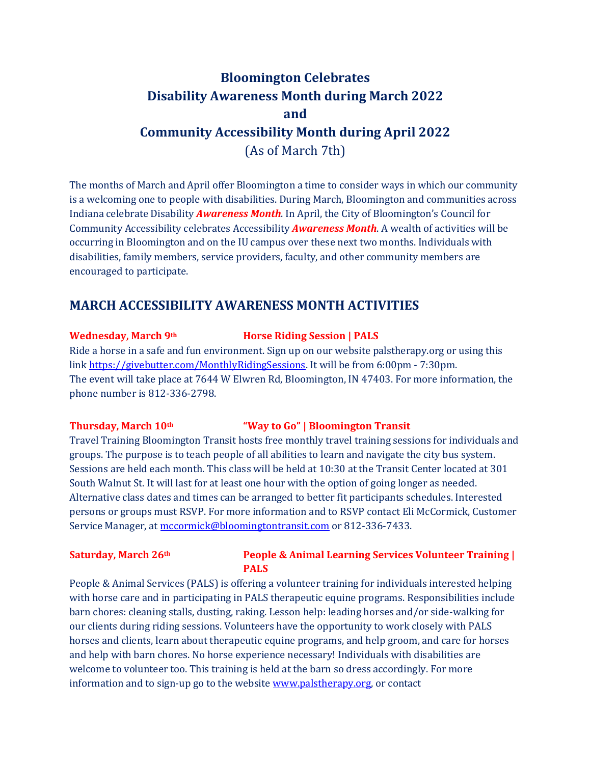# **Bloomington Celebrates Disability Awareness Month during March 2022 and Community Accessibility Month during April 2022** (As of March 7th)

The months of March and April offer Bloomington a time to consider ways in which our community is a welcoming one to people with disabilities. During March, Bloomington and communities across Indiana celebrate Disability *Awareness Month*. In April, the City of Bloomington's Council for Community Accessibility celebrates Accessibility *Awareness Month*. A wealth of activities will be occurring in Bloomington and on the IU campus over these next two months. Individuals with disabilities, family members, service providers, faculty, and other community members are encouraged to participate.

## **MARCH ACCESSIBILITY AWARENESS MONTH ACTIVITIES**

### **Wednesday, March 9th Horse Riding Session | PALS**

Ride a horse in a safe and fun environment. Sign up on our website palstherapy.org or using this lin[k https://givebutter.com/MonthlyRidingSessions.](https://givebutter.com/MonthlyRidingSessions) It will be from 6:00pm - 7:30pm. The event will take place at 7644 W Elwren Rd, Bloomington, IN 47403. For more information, the phone number is 812-336-2798.

### **Thursday, March 10th "Way to Go" | Bloomington Transit**

Travel Training Bloomington Transit hosts free monthly travel training sessions for individuals and groups. The purpose is to teach people of all abilities to learn and navigate the city bus system. Sessions are held each month. This class will be held at 10:30 at the Transit Center located at 301 South Walnut St. It will last for at least one hour with the option of going longer as needed. Alternative class dates and times can be arranged to better fit participants schedules. Interested persons or groups must RSVP. For more information and to RSVP contact Eli McCormick, Customer Service Manager, at [mccormick@bloomingtontransit.com](mailto:mccormick@bloomingtontransit.com) or 812-336-7433.

## **Saturday, March 26th People & Animal Learning Services Volunteer Training | PALS**

People & Animal Services (PALS) is offering a volunteer training for individuals interested helping with horse care and in participating in PALS therapeutic equine programs. Responsibilities include barn chores: cleaning stalls, dusting, raking. Lesson help: leading horses and/or side-walking for our clients during riding sessions. Volunteers have the opportunity to work closely with PALS horses and clients, learn about therapeutic equine programs, and help groom, and care for horses and help with barn chores. No horse experience necessary! Individuals with disabilities are welcome to volunteer too. This training is held at the barn so dress accordingly. For more information and to sign-up go to the websit[e www.palstherapy.org,](http://www.palstherapy.org/) or contact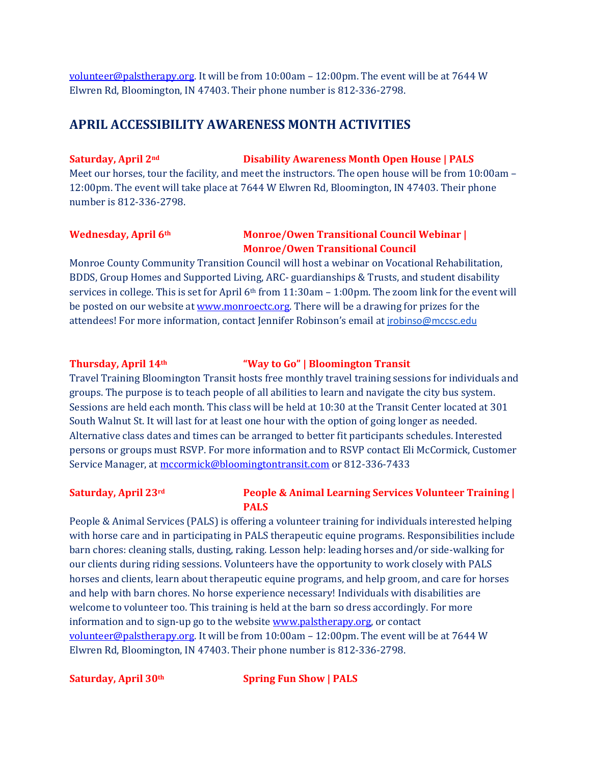[volunteer@palstherapy.org.](mailto:volunteer@palstherapy.org) It will be from 10:00am – 12:00pm. The event will be at 7644 W Elwren Rd, Bloomington, IN 47403. Their phone number is 812-336-2798.

## **APRIL ACCESSIBILITY AWARENESS MONTH ACTIVITIES**

### **Saturday, April 2nd Disability Awareness Month Open House | PALS**

Meet our horses, tour the facility, and meet the instructors. The open house will be from 10:00am – 12:00pm. The event will take place at 7644 W Elwren Rd, Bloomington, IN 47403. Their phone number is 812-336-2798.

## **Wednesday, April 6th Monroe/Owen Transitional Council Webinar | Monroe/Owen Transitional Council**

Monroe County Community Transition Council will host a webinar on Vocational Rehabilitation, BDDS, Group Homes and Supported Living, ARC- guardianships & Trusts, and student disability services in college. This is set for April 6th from 11:30am – 1:00pm. The zoom link for the event will be posted on our website at <u>www.monroectc.org</u>. There will be a drawing for prizes for the attendees! For more information, contact Jennifer Robinson's email at [jrobinso@mccsc.edu](mailto:jrobinso@mccsc.edu)

## **Thursday, April 14th "Way to Go" | Bloomington Transit**

Travel Training Bloomington Transit hosts free monthly travel training sessions for individuals and groups. The purpose is to teach people of all abilities to learn and navigate the city bus system. Sessions are held each month. This class will be held at 10:30 at the Transit Center located at 301 South Walnut St. It will last for at least one hour with the option of going longer as needed. Alternative class dates and times can be arranged to better fit participants schedules. Interested persons or groups must RSVP. For more information and to RSVP contact Eli McCormick, Customer Service Manager, at [mccormick@bloomingtontransit.com](mailto:mccormick@bloomingtontransit.com) or 812-336-7433

## **Saturday, April 23rd People & Animal Learning Services Volunteer Training | PALS**

People & Animal Services (PALS) is offering a volunteer training for individuals interested helping with horse care and in participating in PALS therapeutic equine programs. Responsibilities include barn chores: cleaning stalls, dusting, raking. Lesson help: leading horses and/or side-walking for our clients during riding sessions. Volunteers have the opportunity to work closely with PALS horses and clients, learn about therapeutic equine programs, and help groom, and care for horses and help with barn chores. No horse experience necessary! Individuals with disabilities are welcome to volunteer too. This training is held at the barn so dress accordingly. For more information and to sign-up go to the websit[e www.palstherapy.org,](http://www.palstherapy.org/) or contact [volunteer@palstherapy.org.](mailto:volunteer@palstherapy.org) It will be from 10:00am – 12:00pm. The event will be at 7644 W Elwren Rd, Bloomington, IN 47403. Their phone number is 812-336-2798.

**Saturday, April 30th Spring Fun Show | PALS**